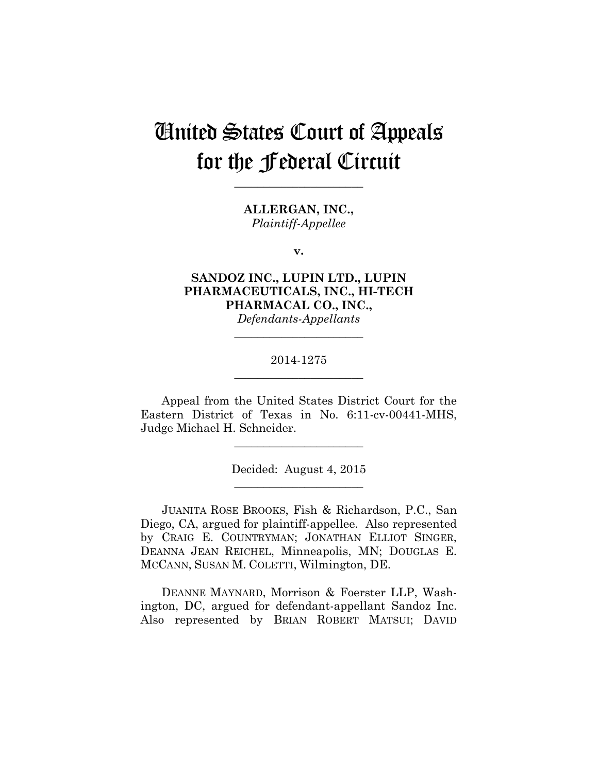# United States Court of Appeals for the Federal Circuit

**\_\_\_\_\_\_\_\_\_\_\_\_\_\_\_\_\_\_\_\_\_\_** 

**ALLERGAN, INC.,** *Plaintiff-Appellee*

**v.**

**SANDOZ INC., LUPIN LTD., LUPIN PHARMACEUTICALS, INC., HI-TECH PHARMACAL CO., INC.,** *Defendants-Appellants*

# 2014-1275 **\_\_\_\_\_\_\_\_\_\_\_\_\_\_\_\_\_\_\_\_\_\_**

**\_\_\_\_\_\_\_\_\_\_\_\_\_\_\_\_\_\_\_\_\_\_** 

Appeal from the United States District Court for the Eastern District of Texas in No. 6:11-cv-00441-MHS, Judge Michael H. Schneider.

**\_\_\_\_\_\_\_\_\_\_\_\_\_\_\_\_\_\_\_\_\_\_** 

Decided: August 4, 2015 **\_\_\_\_\_\_\_\_\_\_\_\_\_\_\_\_\_\_\_\_\_\_** 

JUANITA ROSE BROOKS, Fish & Richardson, P.C., San Diego, CA, argued for plaintiff-appellee. Also represented by CRAIG E. COUNTRYMAN; JONATHAN ELLIOT SINGER, DEANNA JEAN REICHEL, Minneapolis, MN; DOUGLAS E. MCCANN, SUSAN M. COLETTI, Wilmington, DE.

DEANNE MAYNARD, Morrison & Foerster LLP, Washington, DC, argued for defendant-appellant Sandoz Inc. Also represented by BRIAN ROBERT MATSUI; DAVID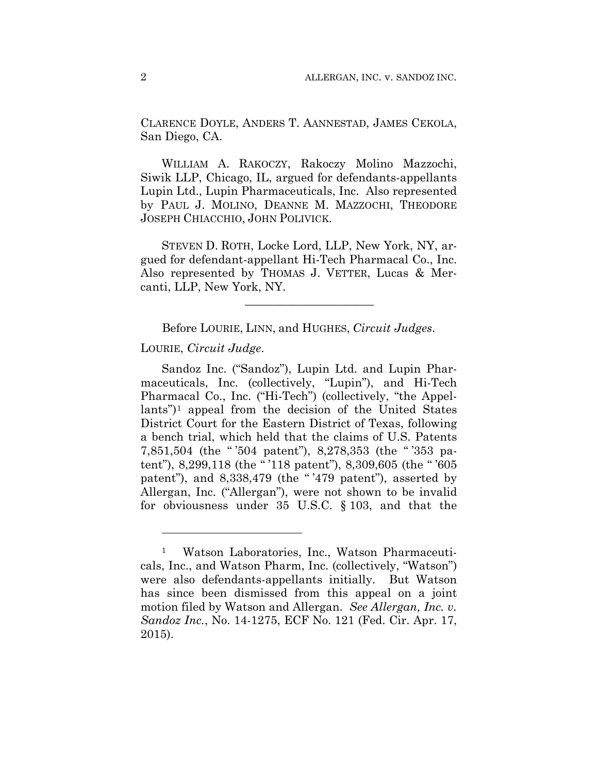CLARENCE DOYLE, ANDERS T. AANNESTAD, JAMES CEKOLA, San Diego, CA.

WILLIAM A. RAKOCZY, Rakoczy Molino Mazzochi, Siwik LLP, Chicago, IL, argued for defendants-appellants Lupin Ltd., Lupin Pharmaceuticals, Inc. Also represented by PAUL J. MOLINO, DEANNE M. MAZZOCHI, THEODORE JOSEPH CHIACCHIO, JOHN POLIVICK.

STEVEN D. ROTH, Locke Lord, LLP, New York, NY, argued for defendant-appellant Hi-Tech Pharmacal Co., Inc. Also represented by THOMAS J. VETTER, Lucas & Mercanti, LLP, New York, NY.

Before LOURIE, LINN, and HUGHES, *Circuit Judges*.

\_\_\_\_\_\_\_\_\_\_\_\_\_\_\_\_\_\_\_\_\_\_

LOURIE, *Circuit Judge*.

<u>.</u>

Sandoz Inc. ("Sandoz"), Lupin Ltd. and Lupin Pharmaceuticals, Inc. (collectively, "Lupin"), and Hi-Tech Pharmacal Co., Inc. ("Hi-Tech") (collectively, "the Appellants")1 appeal from the decision of the United States District Court for the Eastern District of Texas, following a bench trial, which held that the claims of U.S. Patents 7,851,504 (the " '504 patent"), 8,278,353 (the " '353 patent"), 8,299,118 (the " '118 patent"), 8,309,605 (the " '605 patent"), and 8,338,479 (the "'479 patent"), asserted by Allergan, Inc. ("Allergan"), were not shown to be invalid for obviousness under 35 U.S.C. § 103, and that the

Watson Laboratories, Inc., Watson Pharmaceuticals, Inc., and Watson Pharm, Inc. (collectively, "Watson") were also defendants-appellants initially. But Watson has since been dismissed from this appeal on a joint motion filed by Watson and Allergan. *See Allergan, Inc. v. Sandoz Inc.*, No. 14-1275, ECF No. 121 (Fed. Cir. Apr. 17, 2015).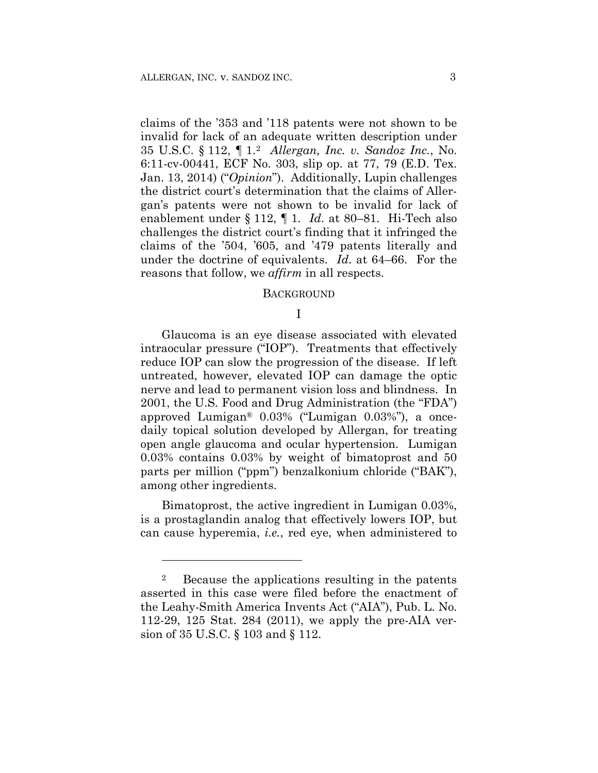claims of the '353 and '118 patents were not shown to be invalid for lack of an adequate written description under 35 U.S.C. § 112, ¶ 1.2 *Allergan, Inc. v. Sandoz Inc.*, No. 6:11-cv-00441, ECF No. 303, slip op. at 77, 79 (E.D. Tex. Jan. 13, 2014) ("*Opinion*"). Additionally, Lupin challenges the district court's determination that the claims of Allergan's patents were not shown to be invalid for lack of enablement under § 112, ¶ 1. *Id*. at 80–81. Hi-Tech also challenges the district court's finding that it infringed the claims of the '504, '605, and '479 patents literally and under the doctrine of equivalents. *Id*. at 64–66. For the reasons that follow, we *affirm* in all respects.

#### BACKGROUND

#### I

Glaucoma is an eye disease associated with elevated intraocular pressure ("IOP"). Treatments that effectively reduce IOP can slow the progression of the disease. If left untreated, however, elevated IOP can damage the optic nerve and lead to permanent vision loss and blindness. In 2001, the U.S. Food and Drug Administration (the "FDA") approved Lumigan® 0.03% ("Lumigan 0.03%"), a oncedaily topical solution developed by Allergan, for treating open angle glaucoma and ocular hypertension. Lumigan 0.03% contains 0.03% by weight of bimatoprost and 50 parts per million ("ppm") benzalkonium chloride ("BAK"), among other ingredients.

Bimatoprost, the active ingredient in Lumigan 0.03%, is a prostaglandin analog that effectively lowers IOP, but can cause hyperemia, *i.e.*, red eye, when administered to

1

<sup>2</sup> Because the applications resulting in the patents asserted in this case were filed before the enactment of the Leahy-Smith America Invents Act ("AIA"), Pub. L. No. 112-29, 125 Stat. 284 (2011), we apply the pre-AIA version of 35 U.S.C. § 103 and § 112.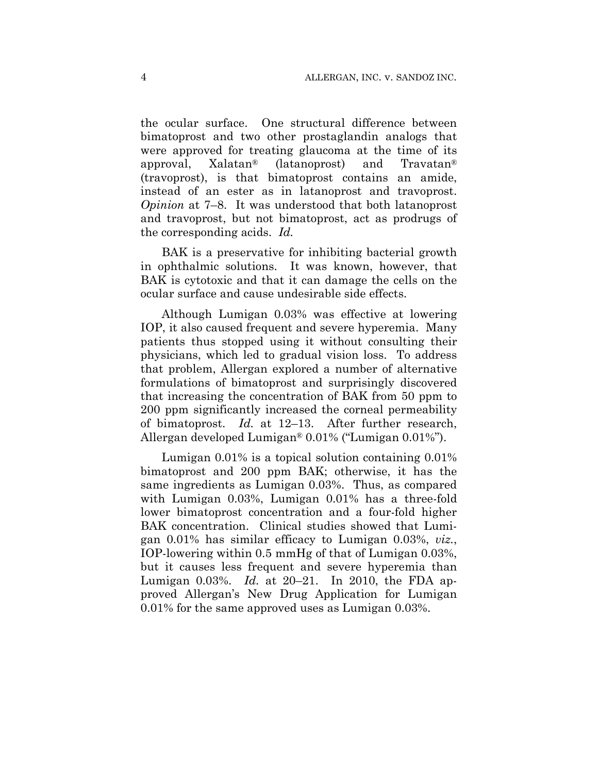the ocular surface. One structural difference between bimatoprost and two other prostaglandin analogs that were approved for treating glaucoma at the time of its approval, Xalatan® (latanoprost) and Travatan® (travoprost), is that bimatoprost contains an amide, instead of an ester as in latanoprost and travoprost. *Opinion* at 7–8. It was understood that both latanoprost and travoprost, but not bimatoprost, act as prodrugs of the corresponding acids. *Id.*

BAK is a preservative for inhibiting bacterial growth in ophthalmic solutions. It was known, however, that BAK is cytotoxic and that it can damage the cells on the ocular surface and cause undesirable side effects.

Although Lumigan 0.03% was effective at lowering IOP, it also caused frequent and severe hyperemia. Many patients thus stopped using it without consulting their physicians, which led to gradual vision loss. To address that problem, Allergan explored a number of alternative formulations of bimatoprost and surprisingly discovered that increasing the concentration of BAK from 50 ppm to 200 ppm significantly increased the corneal permeability of bimatoprost. *Id.* at 12–13. After further research, Allergan developed Lumigan® 0.01% ("Lumigan 0.01%").

Lumigan 0.01% is a topical solution containing 0.01% bimatoprost and 200 ppm BAK; otherwise, it has the same ingredients as Lumigan 0.03%. Thus, as compared with Lumigan 0.03%, Lumigan 0.01% has a three-fold lower bimatoprost concentration and a four-fold higher BAK concentration. Clinical studies showed that Lumigan 0.01% has similar efficacy to Lumigan 0.03%, *viz.*, IOP-lowering within 0.5 mmHg of that of Lumigan 0.03%, but it causes less frequent and severe hyperemia than Lumigan 0.03%. *Id.* at 20–21. In 2010, the FDA approved Allergan's New Drug Application for Lumigan 0.01% for the same approved uses as Lumigan 0.03%.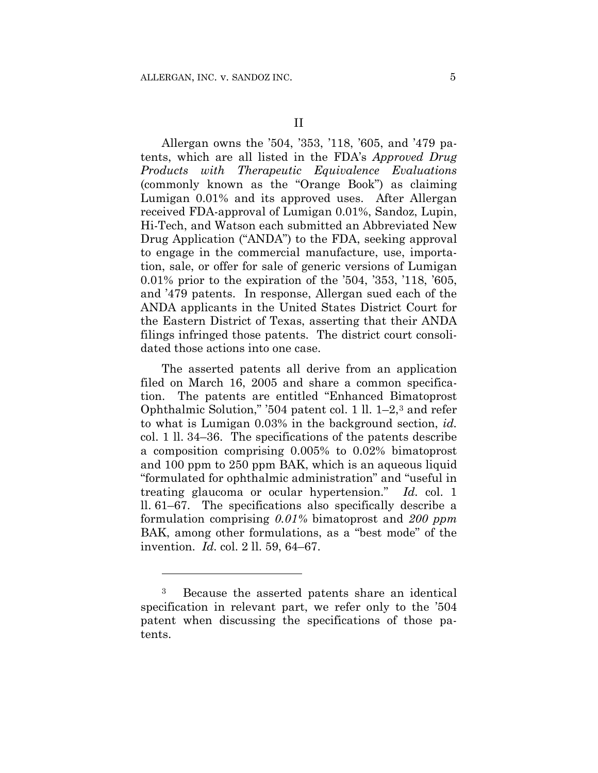Allergan owns the '504, '353, '118, '605, and '479 patents, which are all listed in the FDA's *Approved Drug Products with Therapeutic Equivalence Evaluations* (commonly known as the "Orange Book") as claiming Lumigan 0.01% and its approved uses. After Allergan received FDA-approval of Lumigan 0.01%, Sandoz, Lupin, Hi-Tech, and Watson each submitted an Abbreviated New Drug Application ("ANDA") to the FDA, seeking approval to engage in the commercial manufacture, use, importation, sale, or offer for sale of generic versions of Lumigan 0.01% prior to the expiration of the '504, '353, '118, '605, and '479 patents. In response, Allergan sued each of the ANDA applicants in the United States District Court for the Eastern District of Texas, asserting that their ANDA filings infringed those patents. The district court consolidated those actions into one case.

The asserted patents all derive from an application filed on March 16, 2005 and share a common specification. The patents are entitled "Enhanced Bimatoprost Ophthalmic Solution," '504 patent col. 1 ll. 1–2,3 and refer to what is Lumigan 0.03% in the background section, *id.* col. 1 ll. 34–36. The specifications of the patents describe a composition comprising 0.005% to 0.02% bimatoprost and 100 ppm to 250 ppm BAK, which is an aqueous liquid "formulated for ophthalmic administration" and "useful in treating glaucoma or ocular hypertension." *Id.* col. 1 ll. 61–67. The specifications also specifically describe a formulation comprising *0.01%* bimatoprost and *200 ppm* BAK, among other formulations, as a "best mode" of the invention. *Id.* col. 2 ll. 59, 64–67.

<u>.</u>

<sup>3</sup> Because the asserted patents share an identical specification in relevant part, we refer only to the '504 patent when discussing the specifications of those patents.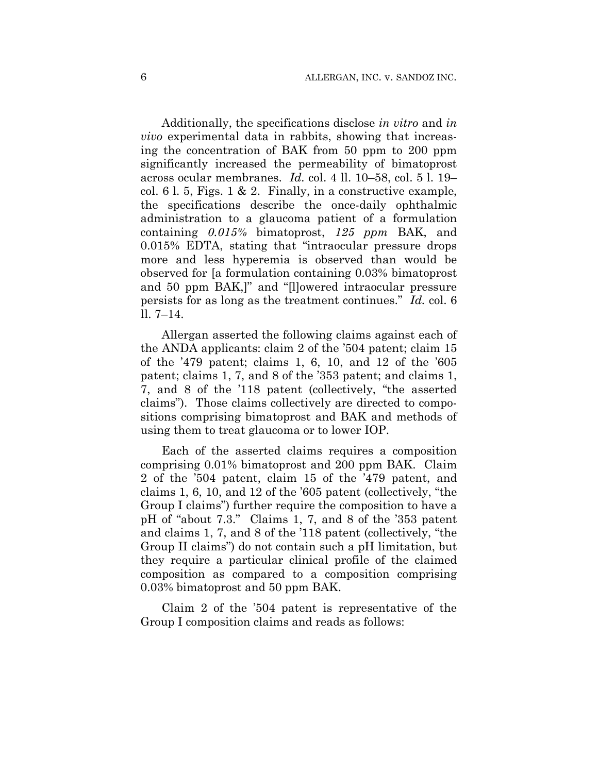Additionally, the specifications disclose *in vitro* and *in vivo* experimental data in rabbits, showing that increasing the concentration of BAK from 50 ppm to 200 ppm significantly increased the permeability of bimatoprost across ocular membranes. *Id.* col. 4 ll. 10–58, col. 5 l. 19– col. 6 l. 5, Figs. 1 & 2. Finally, in a constructive example, the specifications describe the once-daily ophthalmic administration to a glaucoma patient of a formulation containing *0.015%* bimatoprost, *125 ppm* BAK, and 0.015% EDTA, stating that "intraocular pressure drops more and less hyperemia is observed than would be observed for [a formulation containing 0.03% bimatoprost and 50 ppm BAK,]" and "[l]owered intraocular pressure persists for as long as the treatment continues." *Id.* col. 6 ll. 7–14.

Allergan asserted the following claims against each of the ANDA applicants: claim 2 of the '504 patent; claim 15 of the '479 patent; claims 1, 6, 10, and 12 of the '605 patent; claims 1, 7, and 8 of the '353 patent; and claims 1, 7, and 8 of the '118 patent (collectively, "the asserted claims"). Those claims collectively are directed to compositions comprising bimatoprost and BAK and methods of using them to treat glaucoma or to lower IOP.

Each of the asserted claims requires a composition comprising 0.01% bimatoprost and 200 ppm BAK. Claim 2 of the '504 patent, claim 15 of the '479 patent, and claims 1, 6, 10, and 12 of the '605 patent (collectively, "the Group I claims") further require the composition to have a pH of "about 7.3." Claims 1, 7, and 8 of the '353 patent and claims 1, 7, and 8 of the '118 patent (collectively, "the Group II claims") do not contain such a pH limitation, but they require a particular clinical profile of the claimed composition as compared to a composition comprising 0.03% bimatoprost and 50 ppm BAK.

Claim 2 of the '504 patent is representative of the Group I composition claims and reads as follows: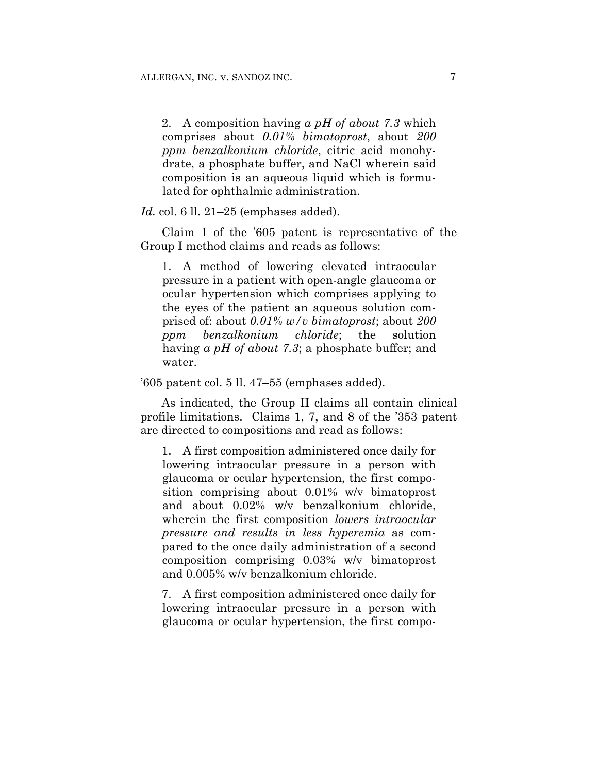2. A composition having *a pH of about 7.3* which comprises about *0.01% bimatoprost*, about *200 ppm benzalkonium chloride*, citric acid monohydrate, a phosphate buffer, and NaCl wherein said composition is an aqueous liquid which is formulated for ophthalmic administration.

*Id.* col. 6 ll. 21–25 (emphases added).

Claim 1 of the '605 patent is representative of the Group I method claims and reads as follows:

1. A method of lowering elevated intraocular pressure in a patient with open-angle glaucoma or ocular hypertension which comprises applying to the eyes of the patient an aqueous solution comprised of: about *0.01% w/v bimatoprost*; about *200 ppm benzalkonium chloride*; the solution having *a pH of about 7.3*; a phosphate buffer; and water.

'605 patent col. 5 ll. 47–55 (emphases added).

As indicated, the Group II claims all contain clinical profile limitations. Claims 1, 7, and 8 of the '353 patent are directed to compositions and read as follows:

1. A first composition administered once daily for lowering intraocular pressure in a person with glaucoma or ocular hypertension, the first composition comprising about 0.01% w/v bimatoprost and about 0.02% w/v benzalkonium chloride, wherein the first composition *lowers intraocular pressure and results in less hyperemia* as compared to the once daily administration of a second composition comprising 0.03% w/v bimatoprost and 0.005% w/v benzalkonium chloride.

7. A first composition administered once daily for lowering intraocular pressure in a person with glaucoma or ocular hypertension, the first compo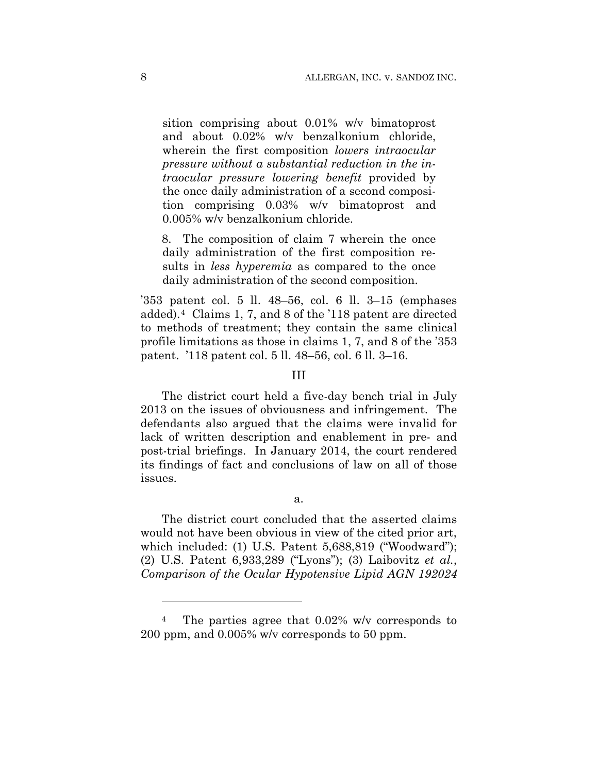sition comprising about 0.01% w/v bimatoprost and about 0.02% w/v benzalkonium chloride, wherein the first composition *lowers intraocular pressure without a substantial reduction in the intraocular pressure lowering benefit* provided by the once daily administration of a second composition comprising 0.03% w/v bimatoprost and 0.005% w/v benzalkonium chloride.

8. The composition of claim 7 wherein the once daily administration of the first composition results in *less hyperemia* as compared to the once daily administration of the second composition.

'353 patent col. 5 ll. 48–56, col. 6 ll. 3–15 (emphases added).4 Claims 1, 7, and 8 of the '118 patent are directed to methods of treatment; they contain the same clinical profile limitations as those in claims 1, 7, and 8 of the '353 patent. '118 patent col. 5 ll. 48–56, col. 6 ll. 3–16.

## III

The district court held a five-day bench trial in July 2013 on the issues of obviousness and infringement. The defendants also argued that the claims were invalid for lack of written description and enablement in pre- and post-trial briefings. In January 2014, the court rendered its findings of fact and conclusions of law on all of those issues.

a.

The district court concluded that the asserted claims would not have been obvious in view of the cited prior art, which included: (1) U.S. Patent 5,688,819 ("Woodward"); (2) U.S. Patent 6,933,289 ("Lyons"); (3) Laibovitz *et al.*, *Comparison of the Ocular Hypotensive Lipid AGN 192024* 

<sup>4</sup> The parties agree that 0.02% w/v corresponds to 200 ppm, and 0.005% w/v corresponds to 50 ppm.

1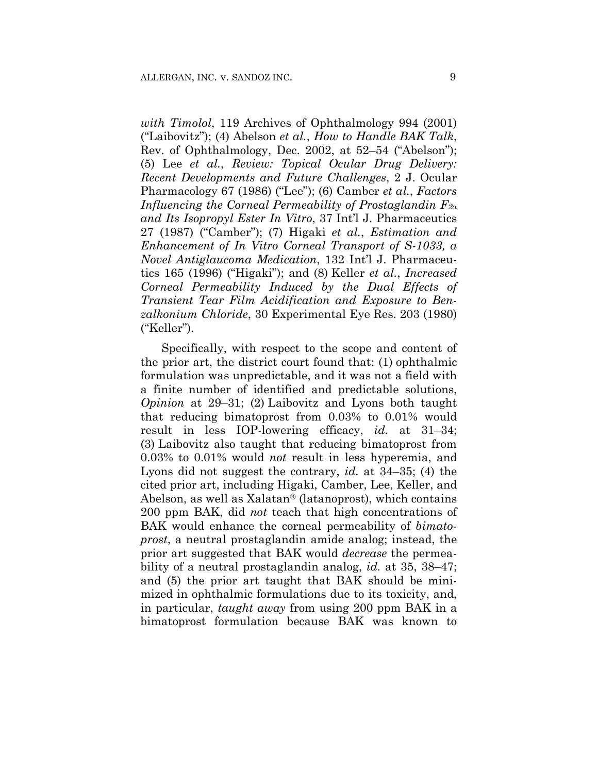*with Timolol*, 119 Archives of Ophthalmology 994 (2001) ("Laibovitz"); (4) Abelson *et al.*, *How to Handle BAK Talk*, Rev. of Ophthalmology, Dec. 2002, at 52–54 ("Abelson"); (5) Lee *et al.*, *Review: Topical Ocular Drug Delivery: Recent Developments and Future Challenges*, 2 J. Ocular Pharmacology 67 (1986) ("Lee"); (6) Camber *et al.*, *Factors Influencing the Corneal Permeability of Prostaglandin F2α and Its Isopropyl Ester In Vitro*, 37 Int'l J. Pharmaceutics 27 (1987) ("Camber"); (7) Higaki *et al.*, *Estimation and Enhancement of In Vitro Corneal Transport of S-1033, a Novel Antiglaucoma Medication*, 132 Int'l J. Pharmaceutics 165 (1996) ("Higaki"); and (8) Keller *et al.*, *Increased Corneal Permeability Induced by the Dual Effects of Transient Tear Film Acidification and Exposure to Benzalkonium Chloride*, 30 Experimental Eye Res. 203 (1980) ("Keller").

Specifically, with respect to the scope and content of the prior art, the district court found that: (1) ophthalmic formulation was unpredictable, and it was not a field with a finite number of identified and predictable solutions, *Opinion* at 29–31; (2) Laibovitz and Lyons both taught that reducing bimatoprost from 0.03% to 0.01% would result in less IOP-lowering efficacy, *id.* at 31–34; (3) Laibovitz also taught that reducing bimatoprost from 0.03% to 0.01% would *not* result in less hyperemia, and Lyons did not suggest the contrary, *id.* at 34–35; (4) the cited prior art, including Higaki, Camber, Lee, Keller, and Abelson, as well as Xalatan® (latanoprost), which contains 200 ppm BAK, did *not* teach that high concentrations of BAK would enhance the corneal permeability of *bimatoprost*, a neutral prostaglandin amide analog; instead, the prior art suggested that BAK would *decrease* the permeability of a neutral prostaglandin analog, *id.* at 35, 38–47; and (5) the prior art taught that BAK should be minimized in ophthalmic formulations due to its toxicity, and, in particular, *taught away* from using 200 ppm BAK in a bimatoprost formulation because BAK was known to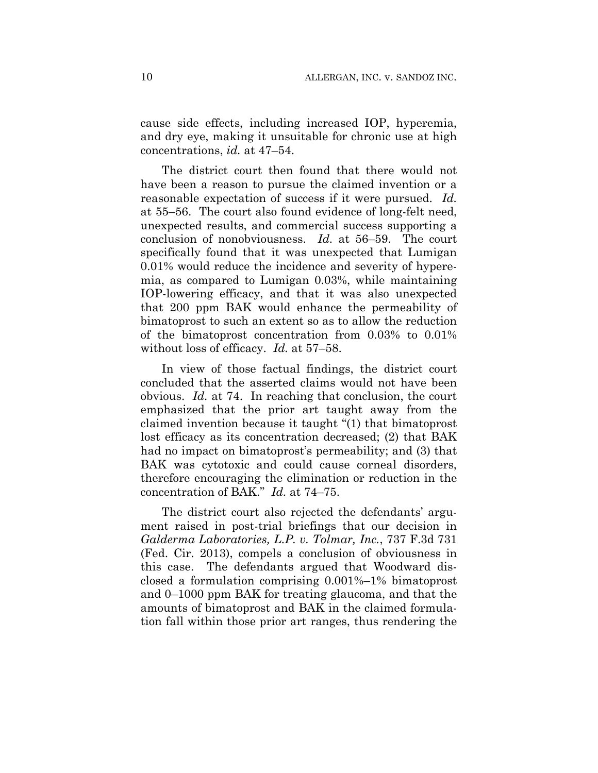cause side effects, including increased IOP, hyperemia, and dry eye, making it unsuitable for chronic use at high concentrations, *id.* at 47–54.

The district court then found that there would not have been a reason to pursue the claimed invention or a reasonable expectation of success if it were pursued. *Id.* at 55–56. The court also found evidence of long-felt need, unexpected results, and commercial success supporting a conclusion of nonobviousness. *Id.* at 56–59. The court specifically found that it was unexpected that Lumigan 0.01% would reduce the incidence and severity of hyperemia, as compared to Lumigan 0.03%, while maintaining IOP-lowering efficacy, and that it was also unexpected that 200 ppm BAK would enhance the permeability of bimatoprost to such an extent so as to allow the reduction of the bimatoprost concentration from 0.03% to 0.01% without loss of efficacy. *Id.* at 57–58.

In view of those factual findings, the district court concluded that the asserted claims would not have been obvious. *Id.* at 74. In reaching that conclusion, the court emphasized that the prior art taught away from the claimed invention because it taught "(1) that bimatoprost lost efficacy as its concentration decreased; (2) that BAK had no impact on bimatoprost's permeability; and (3) that BAK was cytotoxic and could cause corneal disorders, therefore encouraging the elimination or reduction in the concentration of BAK." *Id.* at 74–75.

The district court also rejected the defendants' argument raised in post-trial briefings that our decision in *Galderma Laboratories, L.P. v. Tolmar, Inc.*, 737 F.3d 731 (Fed. Cir. 2013), compels a conclusion of obviousness in this case. The defendants argued that Woodward disclosed a formulation comprising 0.001%–1% bimatoprost and 0–1000 ppm BAK for treating glaucoma, and that the amounts of bimatoprost and BAK in the claimed formulation fall within those prior art ranges, thus rendering the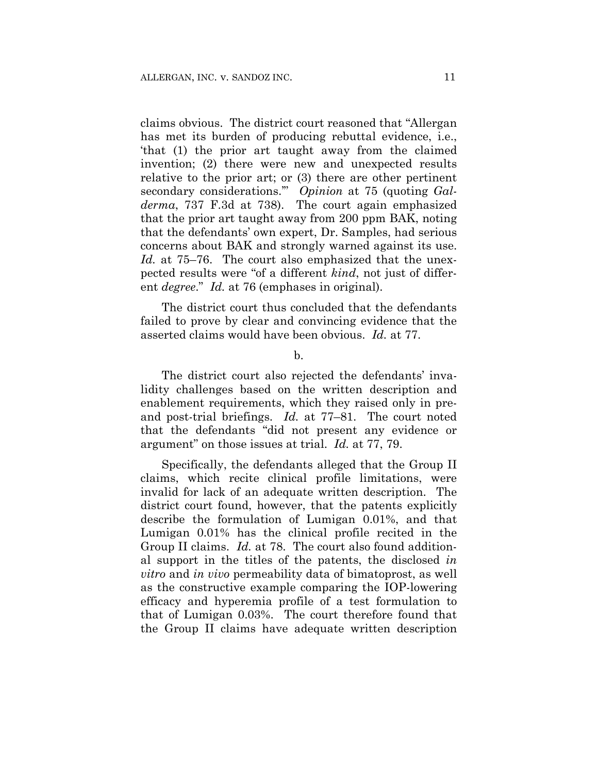claims obvious. The district court reasoned that "Allergan has met its burden of producing rebuttal evidence, i.e., 'that (1) the prior art taught away from the claimed invention; (2) there were new and unexpected results relative to the prior art; or (3) there are other pertinent secondary considerations.'" *Opinion* at 75 (quoting *Galderma*, 737 F.3d at 738). The court again emphasized that the prior art taught away from 200 ppm BAK, noting that the defendants' own expert, Dr. Samples, had serious concerns about BAK and strongly warned against its use. *Id.* at 75–76. The court also emphasized that the unexpected results were "of a different *kind*, not just of different *degree*." *Id.* at 76 (emphases in original).

The district court thus concluded that the defendants failed to prove by clear and convincing evidence that the asserted claims would have been obvious. *Id.* at 77.

b.

The district court also rejected the defendants' invalidity challenges based on the written description and enablement requirements, which they raised only in preand post-trial briefings. *Id.* at 77–81. The court noted that the defendants "did not present any evidence or argument" on those issues at trial. *Id.* at 77, 79.

Specifically, the defendants alleged that the Group II claims, which recite clinical profile limitations, were invalid for lack of an adequate written description. The district court found, however, that the patents explicitly describe the formulation of Lumigan 0.01%, and that Lumigan 0.01% has the clinical profile recited in the Group II claims. *Id.* at 78. The court also found additional support in the titles of the patents, the disclosed *in vitro* and *in vivo* permeability data of bimatoprost, as well as the constructive example comparing the IOP-lowering efficacy and hyperemia profile of a test formulation to that of Lumigan 0.03%. The court therefore found that the Group II claims have adequate written description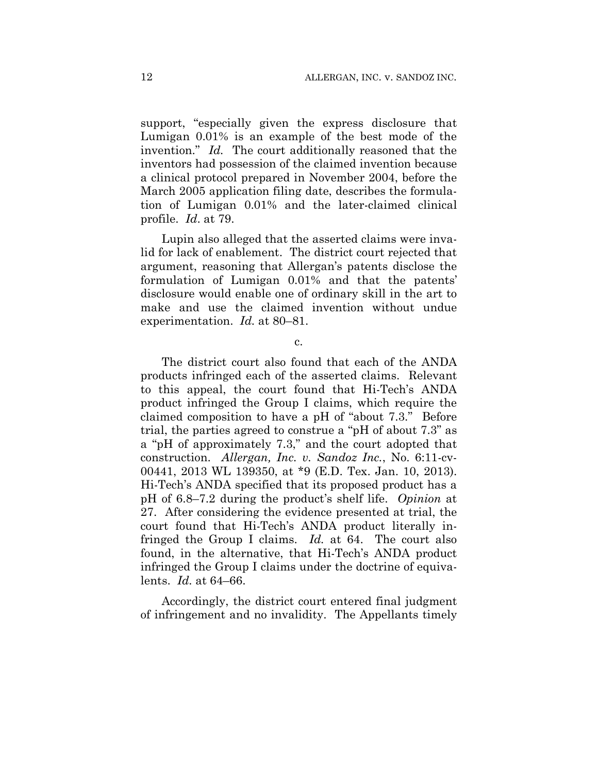support, "especially given the express disclosure that Lumigan 0.01% is an example of the best mode of the invention." *Id.* The court additionally reasoned that the inventors had possession of the claimed invention because a clinical protocol prepared in November 2004, before the March 2005 application filing date, describes the formulation of Lumigan 0.01% and the later-claimed clinical profile. *Id*. at 79.

Lupin also alleged that the asserted claims were invalid for lack of enablement. The district court rejected that argument, reasoning that Allergan's patents disclose the formulation of Lumigan 0.01% and that the patents' disclosure would enable one of ordinary skill in the art to make and use the claimed invention without undue experimentation. *Id.* at 80–81.

c.

The district court also found that each of the ANDA products infringed each of the asserted claims. Relevant to this appeal, the court found that Hi-Tech's ANDA product infringed the Group I claims, which require the claimed composition to have a pH of "about 7.3." Before trial, the parties agreed to construe a "pH of about 7.3" as a "pH of approximately 7.3," and the court adopted that construction. *Allergan, Inc. v. Sandoz Inc.*, No. 6:11-cv-00441, 2013 WL 139350, at \*9 (E.D. Tex. Jan. 10, 2013). Hi-Tech's ANDA specified that its proposed product has a pH of 6.8–7.2 during the product's shelf life. *Opinion* at 27. After considering the evidence presented at trial, the court found that Hi-Tech's ANDA product literally infringed the Group I claims. *Id.* at 64. The court also found, in the alternative, that Hi-Tech's ANDA product infringed the Group I claims under the doctrine of equivalents. *Id.* at 64–66.

Accordingly, the district court entered final judgment of infringement and no invalidity. The Appellants timely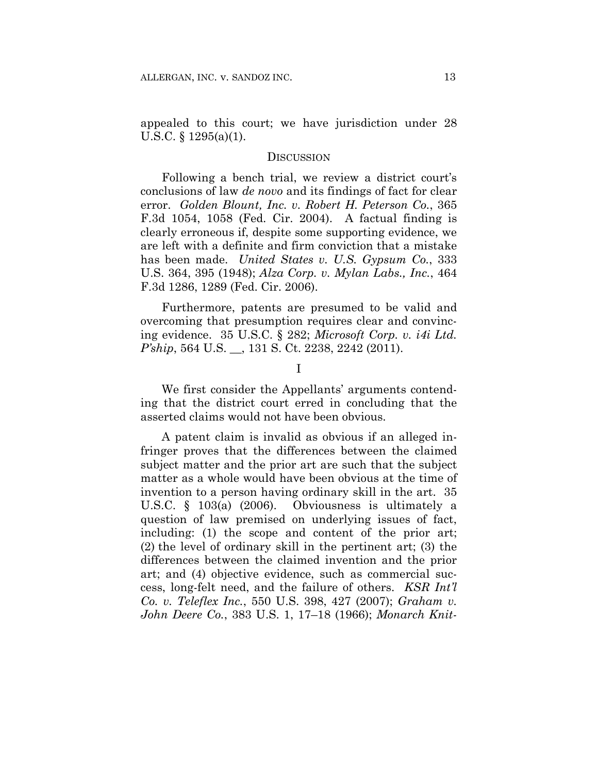appealed to this court; we have jurisdiction under 28 U.S.C. § 1295(a)(1).

#### **DISCUSSION**

Following a bench trial, we review a district court's conclusions of law *de novo* and its findings of fact for clear error. *Golden Blount, Inc. v. Robert H. Peterson Co.*, 365 F.3d 1054, 1058 (Fed. Cir. 2004). A factual finding is clearly erroneous if, despite some supporting evidence, we are left with a definite and firm conviction that a mistake has been made. *United States v. U.S. Gypsum Co.*, 333 U.S. 364, 395 (1948); *Alza Corp. v. Mylan Labs., Inc.*, 464 F.3d 1286, 1289 (Fed. Cir. 2006).

Furthermore, patents are presumed to be valid and overcoming that presumption requires clear and convincing evidence. 35 U.S.C. § 282; *Microsoft Corp. v. i4i Ltd. P'ship*, 564 U.S. \_\_, 131 S. Ct. 2238, 2242 (2011).

I

We first consider the Appellants' arguments contending that the district court erred in concluding that the asserted claims would not have been obvious.

A patent claim is invalid as obvious if an alleged infringer proves that the differences between the claimed subject matter and the prior art are such that the subject matter as a whole would have been obvious at the time of invention to a person having ordinary skill in the art. 35 U.S.C. § 103(a) (2006). Obviousness is ultimately a question of law premised on underlying issues of fact, including: (1) the scope and content of the prior art; (2) the level of ordinary skill in the pertinent art; (3) the differences between the claimed invention and the prior art; and (4) objective evidence, such as commercial success, long-felt need, and the failure of others. *KSR Int'l Co. v. Teleflex Inc.*, 550 U.S. 398, 427 (2007); *Graham v. John Deere Co.*, 383 U.S. 1, 17–18 (1966); *Monarch Knit-*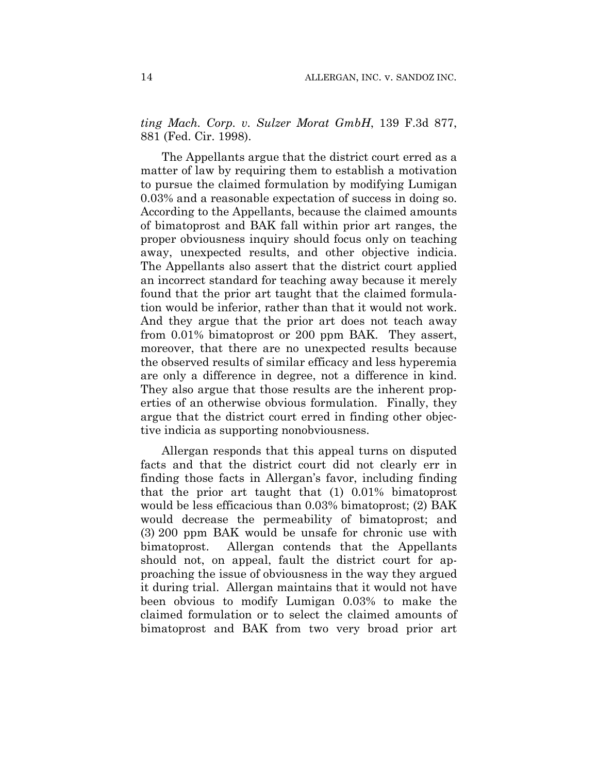*ting Mach. Corp. v. Sulzer Morat GmbH*, 139 F.3d 877, 881 (Fed. Cir. 1998).

The Appellants argue that the district court erred as a matter of law by requiring them to establish a motivation to pursue the claimed formulation by modifying Lumigan 0.03% and a reasonable expectation of success in doing so. According to the Appellants, because the claimed amounts of bimatoprost and BAK fall within prior art ranges, the proper obviousness inquiry should focus only on teaching away, unexpected results, and other objective indicia. The Appellants also assert that the district court applied an incorrect standard for teaching away because it merely found that the prior art taught that the claimed formulation would be inferior, rather than that it would not work. And they argue that the prior art does not teach away from 0.01% bimatoprost or 200 ppm BAK. They assert, moreover, that there are no unexpected results because the observed results of similar efficacy and less hyperemia are only a difference in degree, not a difference in kind. They also argue that those results are the inherent properties of an otherwise obvious formulation. Finally, they argue that the district court erred in finding other objective indicia as supporting nonobviousness.

Allergan responds that this appeal turns on disputed facts and that the district court did not clearly err in finding those facts in Allergan's favor, including finding that the prior art taught that (1) 0.01% bimatoprost would be less efficacious than 0.03% bimatoprost; (2) BAK would decrease the permeability of bimatoprost; and (3) 200 ppm BAK would be unsafe for chronic use with bimatoprost. Allergan contends that the Appellants should not, on appeal, fault the district court for approaching the issue of obviousness in the way they argued it during trial. Allergan maintains that it would not have been obvious to modify Lumigan 0.03% to make the claimed formulation or to select the claimed amounts of bimatoprost and BAK from two very broad prior art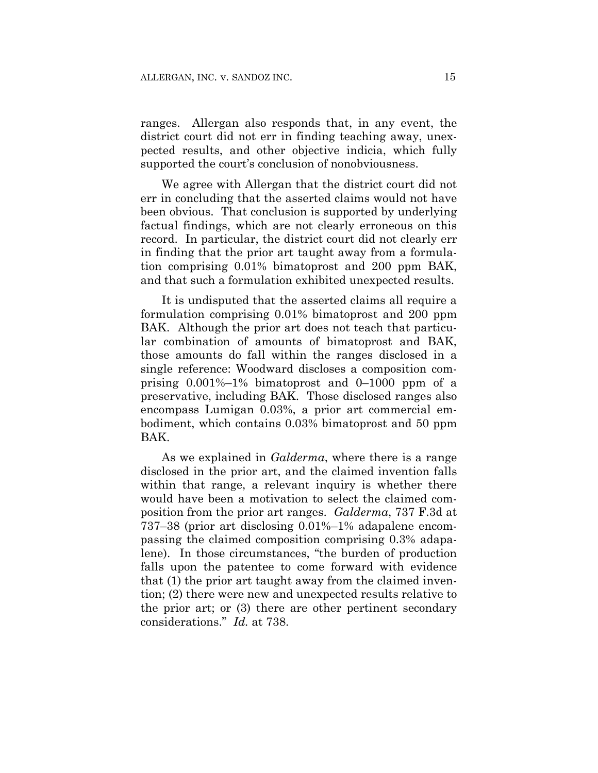ranges. Allergan also responds that, in any event, the district court did not err in finding teaching away, unexpected results, and other objective indicia, which fully supported the court's conclusion of nonobviousness.

We agree with Allergan that the district court did not err in concluding that the asserted claims would not have been obvious. That conclusion is supported by underlying factual findings, which are not clearly erroneous on this record. In particular, the district court did not clearly err in finding that the prior art taught away from a formulation comprising 0.01% bimatoprost and 200 ppm BAK, and that such a formulation exhibited unexpected results.

It is undisputed that the asserted claims all require a formulation comprising 0.01% bimatoprost and 200 ppm BAK. Although the prior art does not teach that particular combination of amounts of bimatoprost and BAK, those amounts do fall within the ranges disclosed in a single reference: Woodward discloses a composition comprising 0.001%–1% bimatoprost and 0–1000 ppm of a preservative, including BAK. Those disclosed ranges also encompass Lumigan 0.03%, a prior art commercial embodiment, which contains 0.03% bimatoprost and 50 ppm BAK.

As we explained in *Galderma*, where there is a range disclosed in the prior art, and the claimed invention falls within that range, a relevant inquiry is whether there would have been a motivation to select the claimed composition from the prior art ranges. *Galderma*, 737 F.3d at 737–38 (prior art disclosing 0.01%–1% adapalene encompassing the claimed composition comprising 0.3% adapalene). In those circumstances, "the burden of production falls upon the patentee to come forward with evidence that (1) the prior art taught away from the claimed invention; (2) there were new and unexpected results relative to the prior art; or (3) there are other pertinent secondary considerations." *Id.* at 738.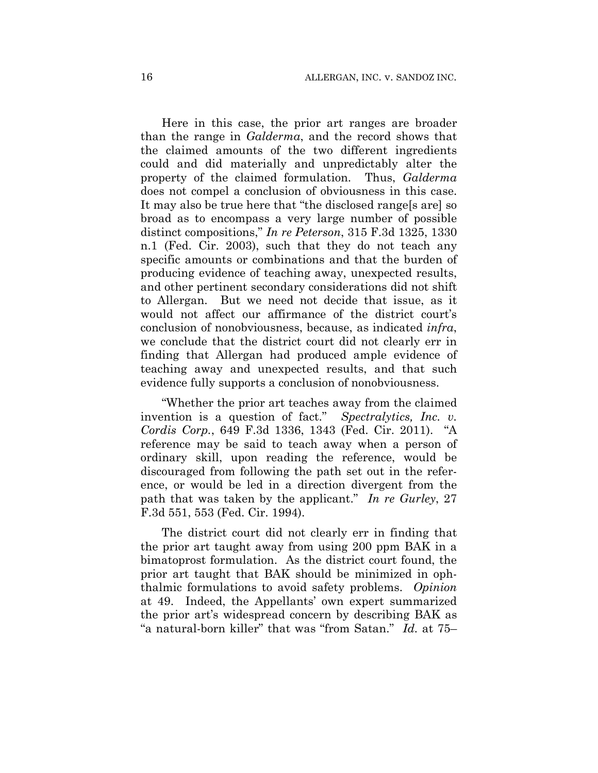Here in this case, the prior art ranges are broader than the range in *Galderma*, and the record shows that the claimed amounts of the two different ingredients could and did materially and unpredictably alter the property of the claimed formulation. Thus, *Galderma* does not compel a conclusion of obviousness in this case. It may also be true here that "the disclosed range[s are] so broad as to encompass a very large number of possible distinct compositions," *In re Peterson*, 315 F.3d 1325, 1330 n.1 (Fed. Cir. 2003), such that they do not teach any specific amounts or combinations and that the burden of producing evidence of teaching away, unexpected results, and other pertinent secondary considerations did not shift to Allergan. But we need not decide that issue, as it would not affect our affirmance of the district court's conclusion of nonobviousness, because, as indicated *infra*, we conclude that the district court did not clearly err in finding that Allergan had produced ample evidence of teaching away and unexpected results, and that such evidence fully supports a conclusion of nonobviousness.

"Whether the prior art teaches away from the claimed invention is a question of fact." *Spectralytics, Inc. v. Cordis Corp.*, 649 F.3d 1336, 1343 (Fed. Cir. 2011). "A reference may be said to teach away when a person of ordinary skill, upon reading the reference, would be discouraged from following the path set out in the reference, or would be led in a direction divergent from the path that was taken by the applicant." *In re Gurley*, 27 F.3d 551, 553 (Fed. Cir. 1994).

The district court did not clearly err in finding that the prior art taught away from using 200 ppm BAK in a bimatoprost formulation. As the district court found, the prior art taught that BAK should be minimized in ophthalmic formulations to avoid safety problems. *Opinion* at 49. Indeed, the Appellants' own expert summarized the prior art's widespread concern by describing BAK as "a natural-born killer" that was "from Satan." *Id.* at 75–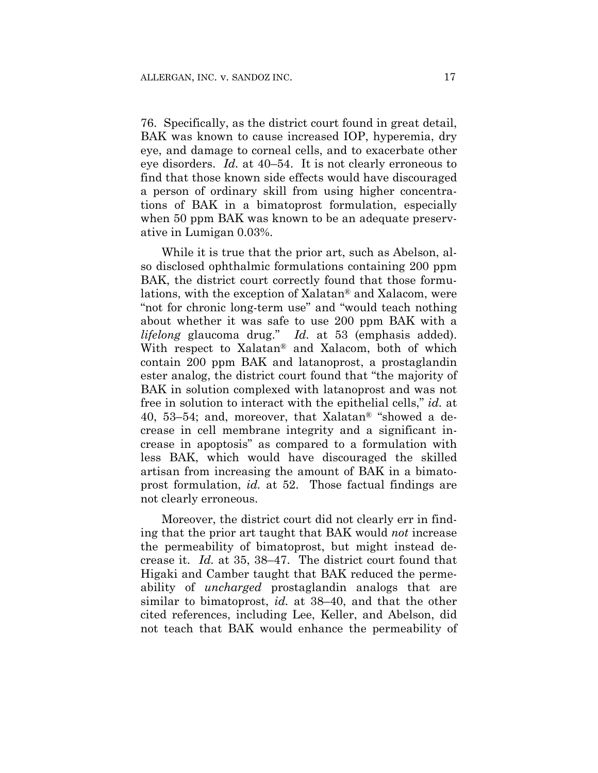76. Specifically, as the district court found in great detail, BAK was known to cause increased IOP, hyperemia, dry eye, and damage to corneal cells, and to exacerbate other eye disorders. *Id.* at 40–54. It is not clearly erroneous to find that those known side effects would have discouraged a person of ordinary skill from using higher concentrations of BAK in a bimatoprost formulation, especially when 50 ppm BAK was known to be an adequate preservative in Lumigan 0.03%.

While it is true that the prior art, such as Abelson, also disclosed ophthalmic formulations containing 200 ppm BAK, the district court correctly found that those formulations, with the exception of Xalatan® and Xalacom, were "not for chronic long-term use" and "would teach nothing about whether it was safe to use 200 ppm BAK with a *lifelong* glaucoma drug." *Id.* at 53 (emphasis added). With respect to Xalatan® and Xalacom, both of which contain 200 ppm BAK and latanoprost, a prostaglandin ester analog, the district court found that "the majority of BAK in solution complexed with latanoprost and was not free in solution to interact with the epithelial cells," *id.* at 40, 53–54; and, moreover, that Xalatan® "showed a decrease in cell membrane integrity and a significant increase in apoptosis" as compared to a formulation with less BAK, which would have discouraged the skilled artisan from increasing the amount of BAK in a bimatoprost formulation, *id.* at 52. Those factual findings are not clearly erroneous.

Moreover, the district court did not clearly err in finding that the prior art taught that BAK would *not* increase the permeability of bimatoprost, but might instead decrease it. *Id.* at 35, 38–47. The district court found that Higaki and Camber taught that BAK reduced the permeability of *uncharged* prostaglandin analogs that are similar to bimatoprost, *id.* at 38–40, and that the other cited references, including Lee, Keller, and Abelson, did not teach that BAK would enhance the permeability of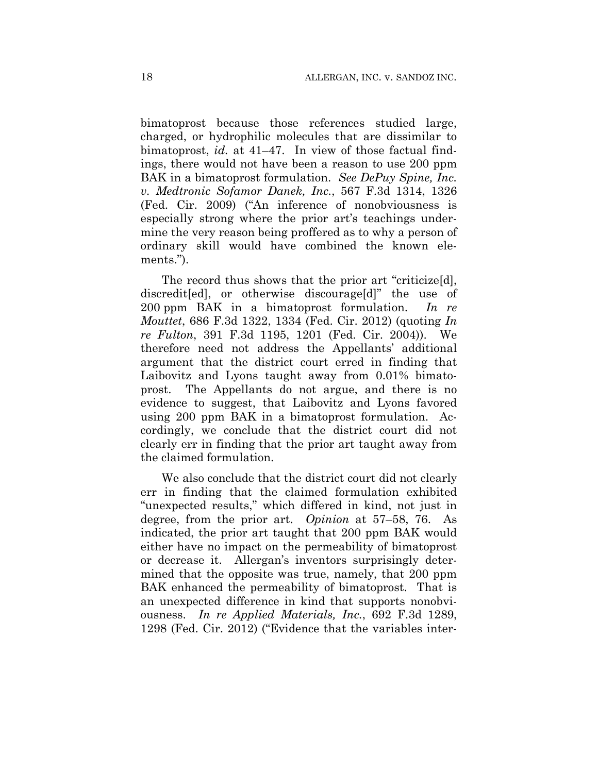bimatoprost because those references studied large, charged, or hydrophilic molecules that are dissimilar to bimatoprost, *id.* at 41–47. In view of those factual findings, there would not have been a reason to use 200 ppm BAK in a bimatoprost formulation. *See DePuy Spine, Inc. v. Medtronic Sofamor Danek, Inc.*, 567 F.3d 1314, 1326 (Fed. Cir. 2009) ("An inference of nonobviousness is especially strong where the prior art's teachings undermine the very reason being proffered as to why a person of ordinary skill would have combined the known elements.").

The record thus shows that the prior art "criticize[d], discredit[ed], or otherwise discourage[d]" the use of 200 ppm BAK in a bimatoprost formulation. *In re Mouttet*, 686 F.3d 1322, 1334 (Fed. Cir. 2012) (quoting *In re Fulton*, 391 F.3d 1195, 1201 (Fed. Cir. 2004)). We therefore need not address the Appellants' additional argument that the district court erred in finding that Laibovitz and Lyons taught away from 0.01% bimatoprost. The Appellants do not argue, and there is no evidence to suggest, that Laibovitz and Lyons favored using 200 ppm BAK in a bimatoprost formulation. Accordingly, we conclude that the district court did not clearly err in finding that the prior art taught away from the claimed formulation.

We also conclude that the district court did not clearly err in finding that the claimed formulation exhibited "unexpected results," which differed in kind, not just in degree, from the prior art. *Opinion* at 57–58, 76. As indicated, the prior art taught that 200 ppm BAK would either have no impact on the permeability of bimatoprost or decrease it. Allergan's inventors surprisingly determined that the opposite was true, namely, that 200 ppm BAK enhanced the permeability of bimatoprost. That is an unexpected difference in kind that supports nonobviousness. *In re Applied Materials, Inc.*, 692 F.3d 1289, 1298 (Fed. Cir. 2012) ("Evidence that the variables inter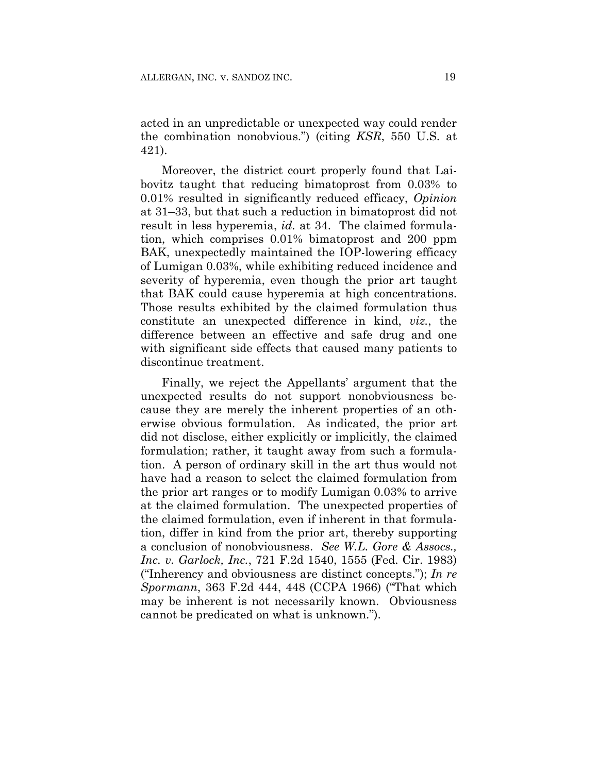acted in an unpredictable or unexpected way could render the combination nonobvious.") (citing *KSR*, 550 U.S. at 421).

Moreover, the district court properly found that Laibovitz taught that reducing bimatoprost from 0.03% to 0.01% resulted in significantly reduced efficacy, *Opinion* at 31–33, but that such a reduction in bimatoprost did not result in less hyperemia, *id.* at 34. The claimed formulation, which comprises 0.01% bimatoprost and 200 ppm BAK, unexpectedly maintained the IOP-lowering efficacy of Lumigan 0.03%, while exhibiting reduced incidence and severity of hyperemia, even though the prior art taught that BAK could cause hyperemia at high concentrations. Those results exhibited by the claimed formulation thus constitute an unexpected difference in kind, *viz.*, the difference between an effective and safe drug and one with significant side effects that caused many patients to discontinue treatment.

Finally, we reject the Appellants' argument that the unexpected results do not support nonobviousness because they are merely the inherent properties of an otherwise obvious formulation. As indicated, the prior art did not disclose, either explicitly or implicitly, the claimed formulation; rather, it taught away from such a formulation. A person of ordinary skill in the art thus would not have had a reason to select the claimed formulation from the prior art ranges or to modify Lumigan 0.03% to arrive at the claimed formulation. The unexpected properties of the claimed formulation, even if inherent in that formulation, differ in kind from the prior art, thereby supporting a conclusion of nonobviousness. *See W.L. Gore & Assocs., Inc. v. Garlock, Inc.*, 721 F.2d 1540, 1555 (Fed. Cir. 1983) ("Inherency and obviousness are distinct concepts."); *In re Spormann*, 363 F.2d 444, 448 (CCPA 1966) ("That which may be inherent is not necessarily known. Obviousness cannot be predicated on what is unknown.").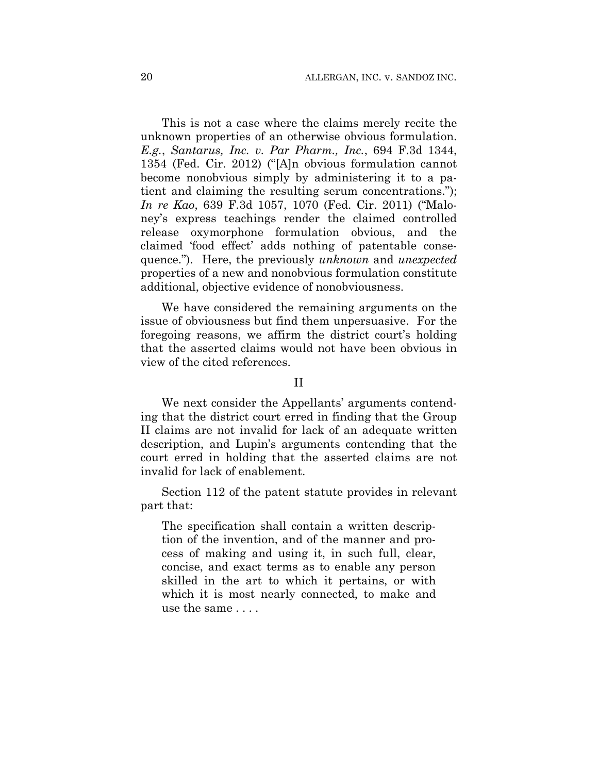This is not a case where the claims merely recite the unknown properties of an otherwise obvious formulation. *E.g.*, *Santarus, Inc. v. Par Pharm., Inc.*, 694 F.3d 1344, 1354 (Fed. Cir. 2012) ("[A]n obvious formulation cannot become nonobvious simply by administering it to a patient and claiming the resulting serum concentrations."); *In re Kao*, 639 F.3d 1057, 1070 (Fed. Cir. 2011) ("Maloney's express teachings render the claimed controlled release oxymorphone formulation obvious, and the claimed 'food effect' adds nothing of patentable consequence."). Here, the previously *unknown* and *unexpected* properties of a new and nonobvious formulation constitute additional, objective evidence of nonobviousness.

We have considered the remaining arguments on the issue of obviousness but find them unpersuasive. For the foregoing reasons, we affirm the district court's holding that the asserted claims would not have been obvious in view of the cited references.

II

We next consider the Appellants' arguments contending that the district court erred in finding that the Group II claims are not invalid for lack of an adequate written description, and Lupin's arguments contending that the court erred in holding that the asserted claims are not invalid for lack of enablement.

Section 112 of the patent statute provides in relevant part that:

The specification shall contain a written description of the invention, and of the manner and process of making and using it, in such full, clear, concise, and exact terms as to enable any person skilled in the art to which it pertains, or with which it is most nearly connected, to make and use the same . . . .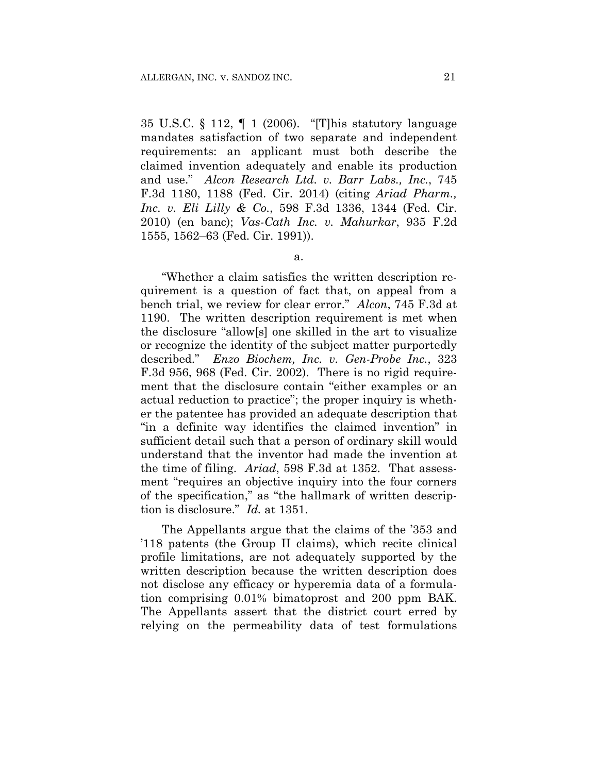35 U.S.C. § 112, ¶ 1 (2006). "[T]his statutory language mandates satisfaction of two separate and independent requirements: an applicant must both describe the claimed invention adequately and enable its production and use." *Alcon Research Ltd. v. Barr Labs., Inc.*, 745 F.3d 1180, 1188 (Fed. Cir. 2014) (citing *Ariad Pharm., Inc. v. Eli Lilly & Co.*, 598 F.3d 1336, 1344 (Fed. Cir. 2010) (en banc); *Vas-Cath Inc. v. Mahurkar*, 935 F.2d 1555, 1562–63 (Fed. Cir. 1991)).

"Whether a claim satisfies the written description requirement is a question of fact that, on appeal from a bench trial, we review for clear error." *Alcon*, 745 F.3d at 1190. The written description requirement is met when the disclosure "allow[s] one skilled in the art to visualize or recognize the identity of the subject matter purportedly described." *Enzo Biochem, Inc. v. Gen-Probe Inc.*, 323 F.3d 956, 968 (Fed. Cir. 2002). There is no rigid requirement that the disclosure contain "either examples or an actual reduction to practice"; the proper inquiry is whether the patentee has provided an adequate description that "in a definite way identifies the claimed invention" in sufficient detail such that a person of ordinary skill would understand that the inventor had made the invention at the time of filing. *Ariad*, 598 F.3d at 1352. That assessment "requires an objective inquiry into the four corners of the specification," as "the hallmark of written description is disclosure." *Id.* at 1351.

The Appellants argue that the claims of the '353 and '118 patents (the Group II claims), which recite clinical profile limitations, are not adequately supported by the written description because the written description does not disclose any efficacy or hyperemia data of a formulation comprising 0.01% bimatoprost and 200 ppm BAK. The Appellants assert that the district court erred by relying on the permeability data of test formulations

a.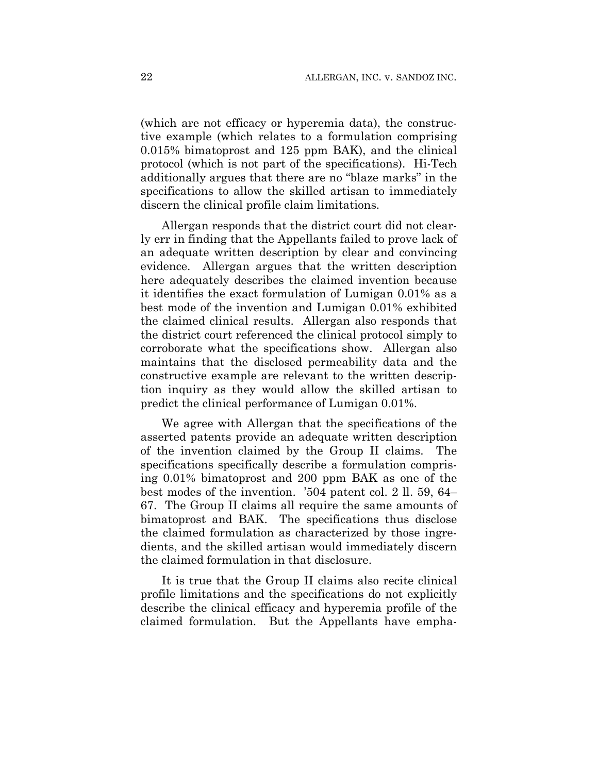(which are not efficacy or hyperemia data), the constructive example (which relates to a formulation comprising 0.015% bimatoprost and 125 ppm BAK), and the clinical protocol (which is not part of the specifications). Hi-Tech additionally argues that there are no "blaze marks" in the specifications to allow the skilled artisan to immediately discern the clinical profile claim limitations.

Allergan responds that the district court did not clearly err in finding that the Appellants failed to prove lack of an adequate written description by clear and convincing evidence. Allergan argues that the written description here adequately describes the claimed invention because it identifies the exact formulation of Lumigan 0.01% as a best mode of the invention and Lumigan 0.01% exhibited the claimed clinical results. Allergan also responds that the district court referenced the clinical protocol simply to corroborate what the specifications show. Allergan also maintains that the disclosed permeability data and the constructive example are relevant to the written description inquiry as they would allow the skilled artisan to predict the clinical performance of Lumigan 0.01%.

We agree with Allergan that the specifications of the asserted patents provide an adequate written description of the invention claimed by the Group II claims. The specifications specifically describe a formulation comprising 0.01% bimatoprost and 200 ppm BAK as one of the best modes of the invention. '504 patent col. 2 ll. 59, 64– 67. The Group II claims all require the same amounts of bimatoprost and BAK. The specifications thus disclose the claimed formulation as characterized by those ingredients, and the skilled artisan would immediately discern the claimed formulation in that disclosure.

It is true that the Group II claims also recite clinical profile limitations and the specifications do not explicitly describe the clinical efficacy and hyperemia profile of the claimed formulation. But the Appellants have empha-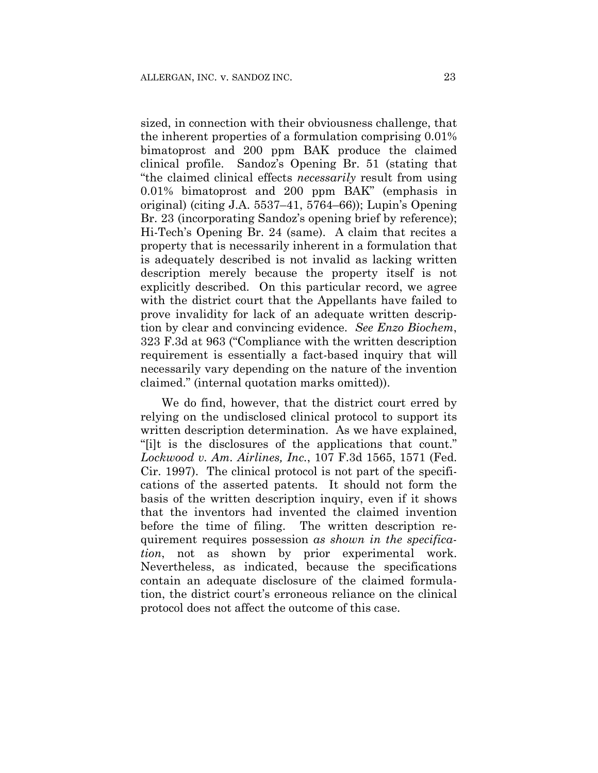sized, in connection with their obviousness challenge, that the inherent properties of a formulation comprising 0.01% bimatoprost and 200 ppm BAK produce the claimed clinical profile. Sandoz's Opening Br. 51 (stating that "the claimed clinical effects *necessarily* result from using 0.01% bimatoprost and 200 ppm BAK" (emphasis in original) (citing J.A. 5537–41, 5764–66)); Lupin's Opening Br. 23 (incorporating Sandoz's opening brief by reference); Hi-Tech's Opening Br. 24 (same). A claim that recites a property that is necessarily inherent in a formulation that is adequately described is not invalid as lacking written description merely because the property itself is not explicitly described. On this particular record, we agree with the district court that the Appellants have failed to prove invalidity for lack of an adequate written description by clear and convincing evidence. *See Enzo Biochem*, 323 F.3d at 963 ("Compliance with the written description requirement is essentially a fact-based inquiry that will necessarily vary depending on the nature of the invention claimed." (internal quotation marks omitted)).

We do find, however, that the district court erred by relying on the undisclosed clinical protocol to support its written description determination. As we have explained, "[i]t is the disclosures of the applications that count." *Lockwood v. Am. Airlines, Inc.*, 107 F.3d 1565, 1571 (Fed. Cir. 1997). The clinical protocol is not part of the specifications of the asserted patents. It should not form the basis of the written description inquiry, even if it shows that the inventors had invented the claimed invention before the time of filing. The written description requirement requires possession *as shown in the specification*, not as shown by prior experimental work. Nevertheless, as indicated, because the specifications contain an adequate disclosure of the claimed formulation, the district court's erroneous reliance on the clinical protocol does not affect the outcome of this case.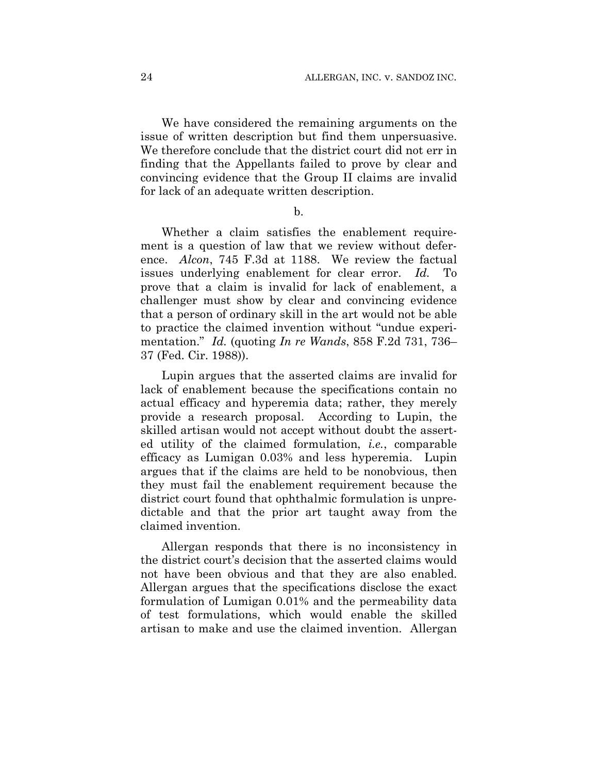We have considered the remaining arguments on the issue of written description but find them unpersuasive. We therefore conclude that the district court did not err in finding that the Appellants failed to prove by clear and convincing evidence that the Group II claims are invalid for lack of an adequate written description.

b.

Whether a claim satisfies the enablement requirement is a question of law that we review without deference. *Alcon*, 745 F.3d at 1188. We review the factual issues underlying enablement for clear error. *Id.* To prove that a claim is invalid for lack of enablement, a challenger must show by clear and convincing evidence that a person of ordinary skill in the art would not be able to practice the claimed invention without "undue experimentation." *Id.* (quoting *In re Wands*, 858 F.2d 731, 736– 37 (Fed. Cir. 1988)).

Lupin argues that the asserted claims are invalid for lack of enablement because the specifications contain no actual efficacy and hyperemia data; rather, they merely provide a research proposal. According to Lupin, the skilled artisan would not accept without doubt the asserted utility of the claimed formulation, *i.e.*, comparable efficacy as Lumigan 0.03% and less hyperemia. Lupin argues that if the claims are held to be nonobvious, then they must fail the enablement requirement because the district court found that ophthalmic formulation is unpredictable and that the prior art taught away from the claimed invention.

Allergan responds that there is no inconsistency in the district court's decision that the asserted claims would not have been obvious and that they are also enabled. Allergan argues that the specifications disclose the exact formulation of Lumigan 0.01% and the permeability data of test formulations, which would enable the skilled artisan to make and use the claimed invention. Allergan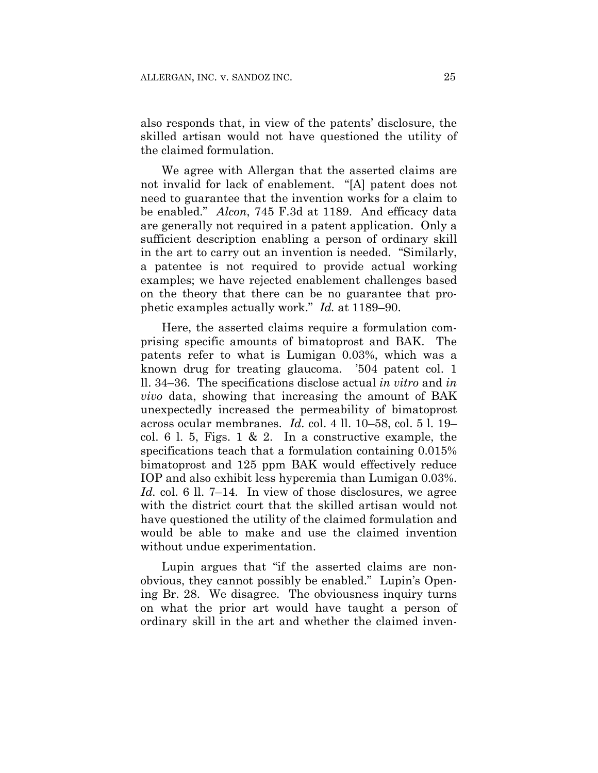also responds that, in view of the patents' disclosure, the skilled artisan would not have questioned the utility of the claimed formulation.

We agree with Allergan that the asserted claims are not invalid for lack of enablement. "[A] patent does not need to guarantee that the invention works for a claim to be enabled." *Alcon*, 745 F.3d at 1189. And efficacy data are generally not required in a patent application. Only a sufficient description enabling a person of ordinary skill in the art to carry out an invention is needed. "Similarly, a patentee is not required to provide actual working examples; we have rejected enablement challenges based on the theory that there can be no guarantee that prophetic examples actually work." *Id.* at 1189–90.

Here, the asserted claims require a formulation comprising specific amounts of bimatoprost and BAK. The patents refer to what is Lumigan 0.03%, which was a known drug for treating glaucoma. '504 patent col. 1 ll. 34–36. The specifications disclose actual *in vitro* and *in vivo* data, showing that increasing the amount of BAK unexpectedly increased the permeability of bimatoprost across ocular membranes. *Id.* col. 4 ll. 10–58, col. 5 l. 19– col. 6 l. 5, Figs. 1 & 2. In a constructive example, the specifications teach that a formulation containing 0.015% bimatoprost and 125 ppm BAK would effectively reduce IOP and also exhibit less hyperemia than Lumigan 0.03%. *Id.* col. 6 ll. 7–14. In view of those disclosures, we agree with the district court that the skilled artisan would not have questioned the utility of the claimed formulation and would be able to make and use the claimed invention without undue experimentation.

Lupin argues that "if the asserted claims are nonobvious, they cannot possibly be enabled." Lupin's Opening Br. 28. We disagree. The obviousness inquiry turns on what the prior art would have taught a person of ordinary skill in the art and whether the claimed inven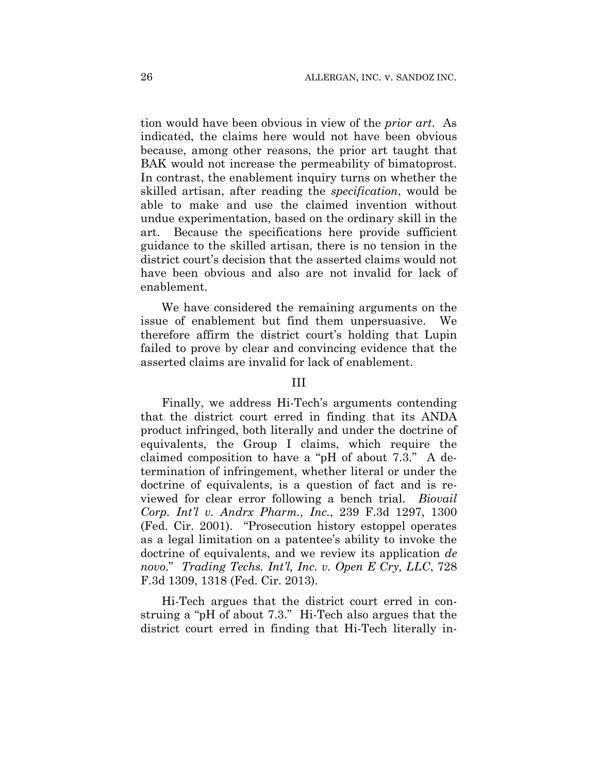tion would have been obvious in view of the *prior art*. As indicated, the claims here would not have been obvious because, among other reasons, the prior art taught that BAK would not increase the permeability of bimatoprost. In contrast, the enablement inquiry turns on whether the skilled artisan, after reading the *specification*, would be able to make and use the claimed invention without undue experimentation, based on the ordinary skill in the art. Because the specifications here provide sufficient guidance to the skilled artisan, there is no tension in the district court's decision that the asserted claims would not have been obvious and also are not invalid for lack of enablement.

We have considered the remaining arguments on the issue of enablement but find them unpersuasive. We therefore affirm the district court's holding that Lupin failed to prove by clear and convincing evidence that the asserted claims are invalid for lack of enablement.

### III

Finally, we address Hi-Tech's arguments contending that the district court erred in finding that its ANDA product infringed, both literally and under the doctrine of equivalents, the Group I claims, which require the claimed composition to have a "pH of about 7.3." A determination of infringement, whether literal or under the doctrine of equivalents, is a question of fact and is reviewed for clear error following a bench trial. *Biovail Corp. Int'l v. Andrx Pharm., Inc.*, 239 F.3d 1297, 1300 (Fed. Cir. 2001). "Prosecution history estoppel operates as a legal limitation on a patentee's ability to invoke the doctrine of equivalents, and we review its application *de novo*." *Trading Techs. Int'l, Inc. v. Open E Cry, LLC*, 728 F.3d 1309, 1318 (Fed. Cir. 2013).

Hi-Tech argues that the district court erred in construing a "pH of about 7.3." Hi-Tech also argues that the district court erred in finding that Hi-Tech literally in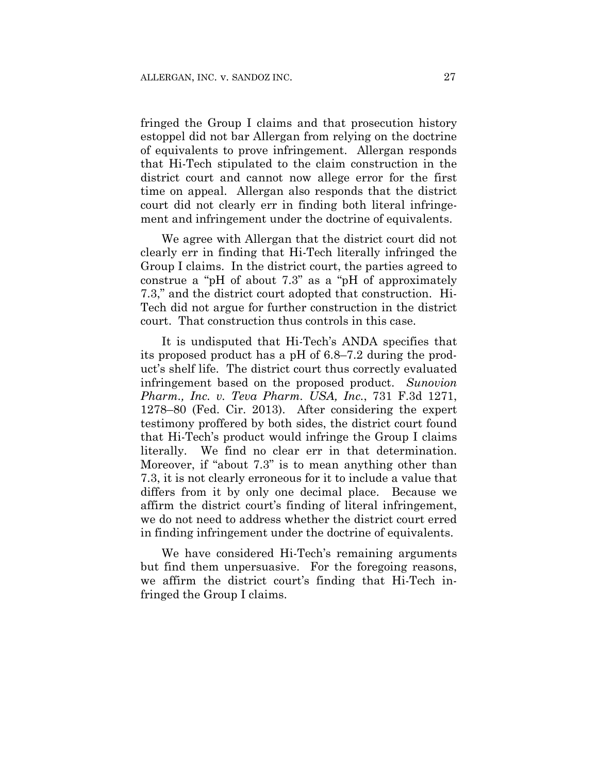fringed the Group I claims and that prosecution history estoppel did not bar Allergan from relying on the doctrine of equivalents to prove infringement. Allergan responds that Hi-Tech stipulated to the claim construction in the district court and cannot now allege error for the first time on appeal. Allergan also responds that the district court did not clearly err in finding both literal infringement and infringement under the doctrine of equivalents.

We agree with Allergan that the district court did not clearly err in finding that Hi-Tech literally infringed the Group I claims. In the district court, the parties agreed to construe a "pH of about 7.3" as a "pH of approximately 7.3," and the district court adopted that construction. Hi-Tech did not argue for further construction in the district court. That construction thus controls in this case.

It is undisputed that Hi-Tech's ANDA specifies that its proposed product has a pH of 6.8–7.2 during the product's shelf life. The district court thus correctly evaluated infringement based on the proposed product. *Sunovion Pharm., Inc. v. Teva Pharm. USA, Inc.*, 731 F.3d 1271, 1278–80 (Fed. Cir. 2013). After considering the expert testimony proffered by both sides, the district court found that Hi-Tech's product would infringe the Group I claims literally. We find no clear err in that determination. Moreover, if "about 7.3" is to mean anything other than 7.3, it is not clearly erroneous for it to include a value that differs from it by only one decimal place. Because we affirm the district court's finding of literal infringement, we do not need to address whether the district court erred in finding infringement under the doctrine of equivalents.

We have considered Hi-Tech's remaining arguments but find them unpersuasive. For the foregoing reasons, we affirm the district court's finding that Hi-Tech infringed the Group I claims.